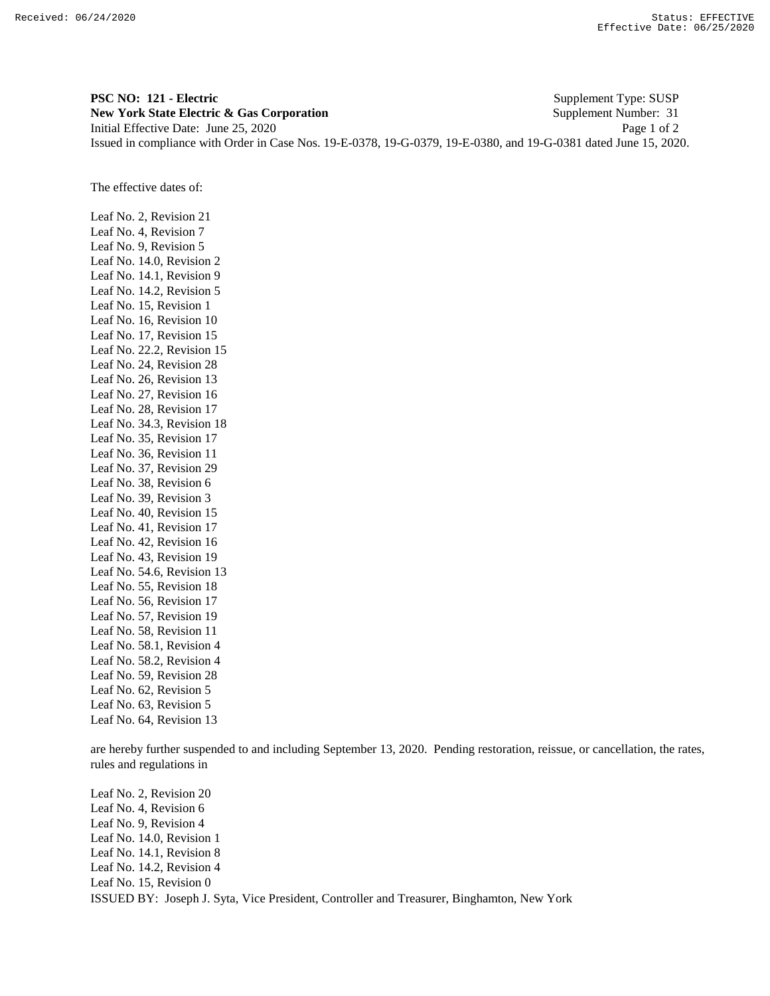**PSC NO: 121 - Electric** Supplement Type: SUSP **New York State Electric & Gas Corporation** Supplement Number: 31 Initial Effective Date: June 25, 2020 Page 1 of 2 Issued in compliance with Order in Case Nos. 19-E-0378, 19-G-0379, 19-E-0380, and 19-G-0381 dated June 15, 2020.

The effective dates of:

Leaf No. 2, Revision 21 Leaf No. 4, Revision 7 Leaf No. 9, Revision 5 Leaf No. 14.0, Revision 2 Leaf No. 14.1, Revision 9 Leaf No. 14.2, Revision 5 Leaf No. 15, Revision 1 Leaf No. 16, Revision 10 Leaf No. 17, Revision 15 Leaf No. 22.2, Revision 15 Leaf No. 24, Revision 28 Leaf No. 26, Revision 13 Leaf No. 27, Revision 16 Leaf No. 28, Revision 17 Leaf No. 34.3, Revision 18 Leaf No. 35, Revision 17 Leaf No. 36, Revision 11 Leaf No. 37, Revision 29 Leaf No. 38, Revision 6 Leaf No. 39, Revision 3 Leaf No. 40, Revision 15 Leaf No. 41, Revision 17 Leaf No. 42, Revision 16 Leaf No. 43, Revision 19 Leaf No. 54.6, Revision 13 Leaf No. 55, Revision 18 Leaf No. 56, Revision 17 Leaf No. 57, Revision 19 Leaf No. 58, Revision 11 Leaf No. 58.1, Revision 4 Leaf No. 58.2, Revision 4 Leaf No. 59, Revision 28 Leaf No. 62, Revision 5 Leaf No. 63, Revision 5 Leaf No. 64, Revision 13

are hereby further suspended to and including September 13, 2020. Pending restoration, reissue, or cancellation, the rates, rules and regulations in

ISSUED BY: Joseph J. Syta, Vice President, Controller and Treasurer, Binghamton, New York Leaf No. 2, Revision 20 Leaf No. 4, Revision 6 Leaf No. 9, Revision 4 Leaf No. 14.0, Revision 1 Leaf No. 14.1, Revision 8 Leaf No. 14.2, Revision 4 Leaf No. 15, Revision 0